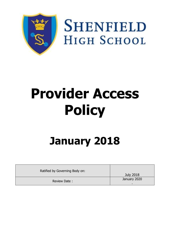

**SHENFIELD HIGH SCHOOL** 

# **Provider Access Policy**

# **January 2018**

| Ratified by Governing Body on: |                  |
|--------------------------------|------------------|
|                                | <b>July 2018</b> |
| Review Date:                   | January 2020     |
|                                |                  |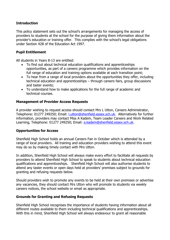# **Introduction**

This policy statement sets out the school's arrangements for managing the access of providers to students at the school for the purpose of giving them information about the provider's education or training offer. This complies with the school's legal obligations under Section 42B of the Education Act 1997.

#### **Pupil Entitlement**

All students in Years 8-13 are entitled:

- To find out about technical education qualifications and apprenticeships opportunities, as part of a careers programme which provides information on the full range of education and training options available at each transition point;
- To hear from a range of local providers about the opportunities they offer, including technical education and apprenticeships – through careers fairs, group discussions and taster events;
- To understand how to make applications for the full range of academic and technical courses.

## **Management of Provider Access Requests**

A provider wishing to request access should contact Mrs L Utton, Careers Administrator, Telephone: 01277 249250; Email: [l.utton@shenfield.essex.sch.uk.](mailto:l.utton@shenfield.essex.sch.uk) Alternatively for further information, providers may contact Miss A Kadem, Team Leader Careers and Work Related Learning, Telephone: 01277 249250; Email: [a.kadem@shenfield.essex.sch.uk.](mailto:a.kadem@shenfield.essex.sch.uk)

#### **Opportunities for Access**

Shenfield High School holds an annual Careers Fair in October which is attended by a range of local providers. All training and education providers wishing to attend this event may do so by making timely contact with Mrs Utton.

In addition, Shenfield High School will always make every effort to facilitate all requests by providers to attend Shenfield High School to speak to students about technical education qualifications and apprenticeships. Shenfield High School will also authorise students to attend any taster events or open days held at providers' premises subject to grounds for granting and refusing requests below.

Should providers wish to promote any events to be held at their own premises or advertise any vacancies, they should contact Mrs Utton who will promote to students via weekly careers notices, the school website or email as appropriate.

#### **Grounds for Granting and Refusing Requests**

Shenfield High School recognises the importance of students having information about all different routes available to them including technical qualifications and apprenticeships. With this in mind, Shenfield High School will always endeavour to grant all reasonable